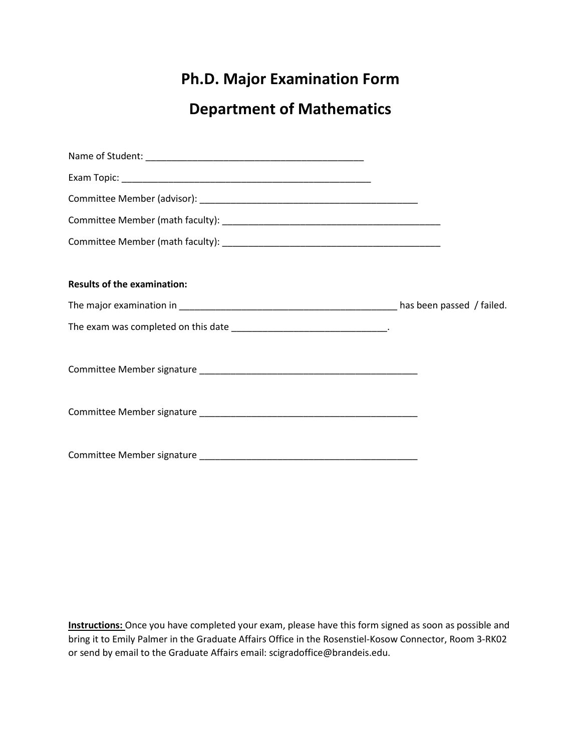## **Ph.D. Major Examination Form**

## **Department of Mathematics**

| <b>Results of the examination:</b>                                      |  |
|-------------------------------------------------------------------------|--|
|                                                                         |  |
| The exam was completed on this date __________________________________. |  |
|                                                                         |  |
|                                                                         |  |
|                                                                         |  |

**Instructions:** Once you have completed your exam, please have this form signed as soon as possible and bring it to Emily Palmer in the Graduate Affairs Office in the Rosenstiel-Kosow Connector, Room 3-RK02 or send by email to the Graduate Affairs email: scigradoffice@brandeis.edu.